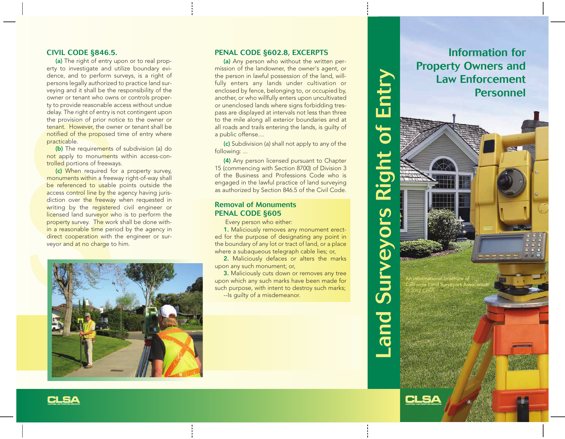### **CIVIL CODE §846.5.**

(a) The right of entry upon or to real property to investigate and utilize boundary evidence, and to perform surveys, is a right of persons legally authorized to practice land surveying and it shall be the responsibility of the owner or tenant who owns or controls property to provide reasonable access without undue delay. The right of entry is not contingent upon the provision of prior notice to the owner or tenant. However, the owner or tenant shall be notified of the proposed time of entry where practicable.

(b) The requirements of subdivision (a) do not apply to monuments within access-controlled portions of freeways.

delay. The right of entry is not the provision of prior notice<br>tenant. However, the owner<br>**notified of the proposed** tin<br>**practicable.**<br>**(b)** The requirements of<br>**not** apply to monuments with the reduced for a<br>**monuments w** (c) When required for a property survey, monuments within a freeway right-of-way shall be referenced to usable points outside the access control line by the agency having jurisdiction over the freeway when requested in writing by the registered civil engineer or licensed land surveyor who is to perform the property survey. The work shall be done within a reasonable time period by the agency in direct cooperation with the engineer or surveyor and at no charge to him.



### **PENAL CODE §602.8, EXCERPTS**

(a) Any person who without the written permission of the landowner, the owner's agent, or the person in lawful possession of the land, willfully enters any lands under cultivation or enclosed by fence, belonging to, or occupied by, another, or who willfully enters upon uncultivated or unenclosed lands where signs forbidding trespass are displayed at intervals not less than three to the mile along all exterior boundaries and at all roads and trails entering the lands, is guilty of a public offense....

(c) Subdivision (a) shall not apply to any of the following: ...

(4) Any person licensed pursuant to Chapter 15 (commencing with Section 8700) of Division 3 of the Business and Professions Code who is engaged in the lawful practice of land surveying as authorized by Section 846.5 of the Civil Code.

### **Removal of Monuments PENAL CODE §605**

Every person who either:

1. Maliciously removes any monument erected for the purpose of designating any point in the boundary of any lot or tract of land, or a place where a subaqueous telegraph cable lies; or,

2. Maliciously defaces or alters the marks upon any such monument; or,

3. Maliciously cuts down or removes any tree upon which any such marks have been made for such purpose, with intent to destroy such marks; --Is guilty of a misdemeanor.

**Information for Property Owners and Land Surveyors Right of Entry** Land Surveyors Right of Entry **Law Enforcement Personnel** An informational brochure of California Land Surveyors Association © 2012 CLSA

CLSA